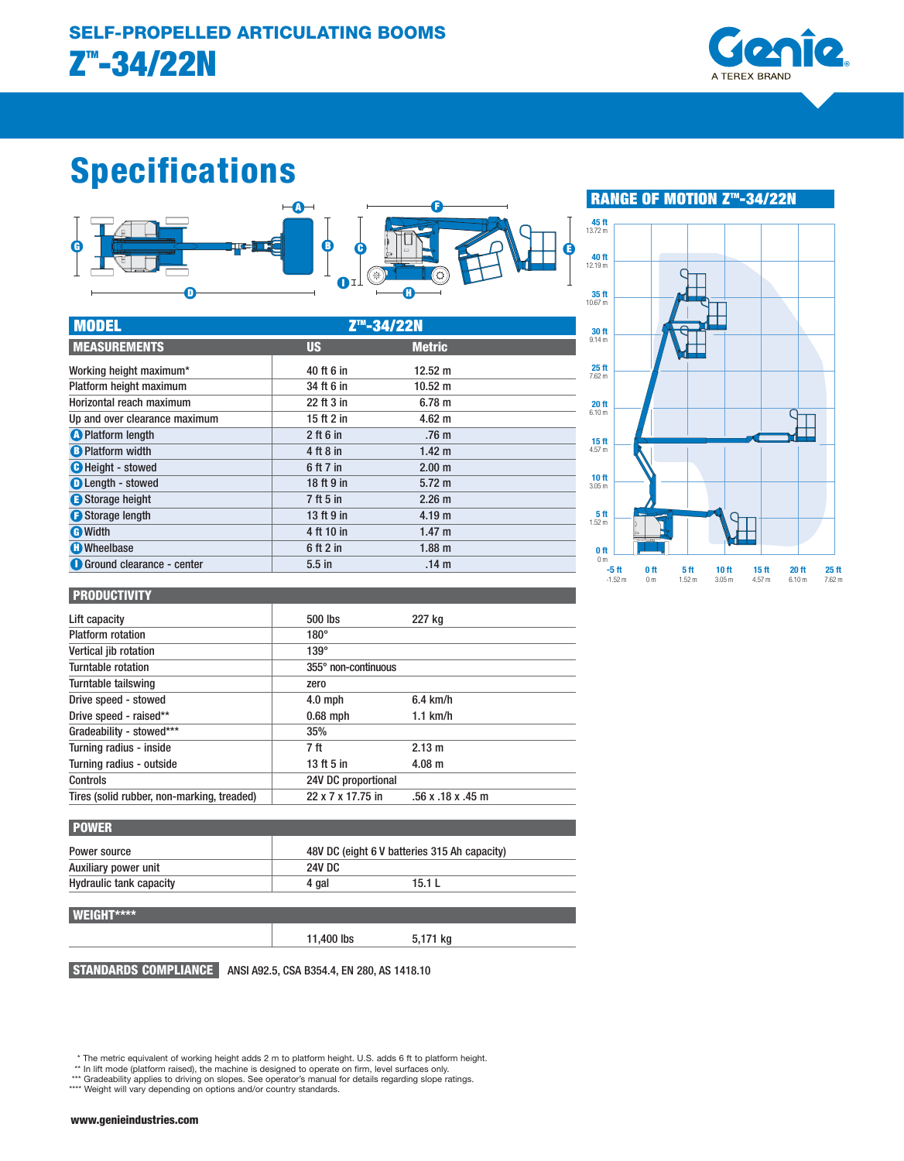MODEL ZTM-34/22N



# Specifications



| 45 ft<br>13.72 m                      |           |                                   |                                      |                                       |                            |                                       |                            |
|---------------------------------------|-----------|-----------------------------------|--------------------------------------|---------------------------------------|----------------------------|---------------------------------------|----------------------------|
| 40 ft<br>12.19 m                      |           |                                   |                                      |                                       |                            |                                       |                            |
| 35 ft<br>10.67 m                      |           |                                   |                                      |                                       |                            |                                       |                            |
| 30 ft<br>9.14 <sub>m</sub>            |           |                                   |                                      |                                       |                            |                                       |                            |
| 25 <sub>ft</sub><br>$7.62 \text{ m}$  |           |                                   |                                      |                                       |                            |                                       |                            |
| 20 <sub>ft</sub><br>6.10 <sub>m</sub> |           |                                   |                                      |                                       |                            |                                       |                            |
| 15 <sub>ft</sub><br>4.57 <sub>m</sub> |           |                                   |                                      |                                       |                            | t.                                    |                            |
| 10 <sub>ft</sub><br>3.05 <sub>m</sub> |           |                                   |                                      |                                       |                            |                                       |                            |
| 5 <sub>ft</sub><br>1.52 <sub>m</sub>  |           |                                   |                                      |                                       |                            |                                       |                            |
| 0 <sub>ft</sub><br>0 <sub>m</sub>     |           |                                   |                                      |                                       |                            |                                       |                            |
| $-5ft$                                | $-1.52$ m | 0 <sub>ft</sub><br>0 <sub>m</sub> | 5 <sub>ft</sub><br>1.52 <sub>m</sub> | 10 <sub>ft</sub><br>3.05 <sub>m</sub> | 15 <sub>ft</sub><br>4.57 m | 20 <sub>ft</sub><br>6.10 <sub>m</sub> | 25 <sub>ft</sub><br>7.62 m |

■ RANGE OF MOTION Z<sup>™</sup>-34/22N

# C Height - stowed 6 ft 7 in 2.00 m **D** Length - stowed 18 ft 9 in 5.72 m **Extends the Storage height 12.26 m** and 2.26 m **C** Platform length 2 ft 6 in .76 m **B** Platform width **4 ft 8 in 1.42 m C** Storage length 13 ft 9 in 4.19 m G Width **4 ft 10 in 1.47 m**  $\bigoplus$  Wheelbase  $\bigoplus$  6 ft 2 in  $1.88 \text{ m}$ **O** Ground clearance - center **120 a.m. 14 m MEASUREMENTS** US US Metric Working height maximum\* 12.52 m Platform height maximum 34 ft 6 in 10.52 m Horizontal reach maximum 22 ft 3 in 6.78 m Up and over clearance maximum 15 ft 2 in 4.62 m

#### PRODUCTIVITY

| Lift capacity                              | 500 lbs             | 227 kg                  |  |
|--------------------------------------------|---------------------|-------------------------|--|
| <b>Platform rotation</b>                   | $180^\circ$         |                         |  |
| Vertical jib rotation                      | $139^\circ$         |                         |  |
| Turntable rotation                         | 355° non-continuous |                         |  |
| Turntable tailswing                        | zero                |                         |  |
| Drive speed - stowed                       | $4.0$ mph           | $6.4$ km/h              |  |
| Drive speed - raised**                     | $0.68$ mph          | $1.1$ km/h              |  |
| Gradeability - stowed***                   | 35%                 |                         |  |
| Turning radius - inside                    | 7 ft                | 2.13 m                  |  |
| Turning radius - outside                   | 13 ft 5 in          | $4.08 \text{ m}$        |  |
| Controls                                   | 24V DC proportional |                         |  |
| Tires (solid rubber, non-marking, treaded) | 22 x 7 x 17.75 in   | $.56$ x $.18$ x $.45$ m |  |

| <b>POWER</b>                   |                                              |        |  |
|--------------------------------|----------------------------------------------|--------|--|
| Power source                   | 48V DC (eight 6 V batteries 315 Ah capacity) |        |  |
| Auxiliary power unit           | 24V DC                                       |        |  |
| <b>Hydraulic tank capacity</b> | 4 gal                                        | 15.1 L |  |

#### WEIGHT\*\*\*\*

11,400 lbs 5,171 kg

STANDARDS COMPLIANCE ANSI A92.5, CSA B354.4, EN 280, AS 1418.10

\* The metric equivalent of working height adds 2 m to platform height. U.S. adds 6 ft to platform height. \*\* In lift mode (platform raised), the machine is designed to operate on firm, level surfaces only.

\*\*\* Gradeability applies to driving on slopes. See operator's manual for details regarding slope ratings. \*\*\*\* Weight will vary depending on options and/or country standards.